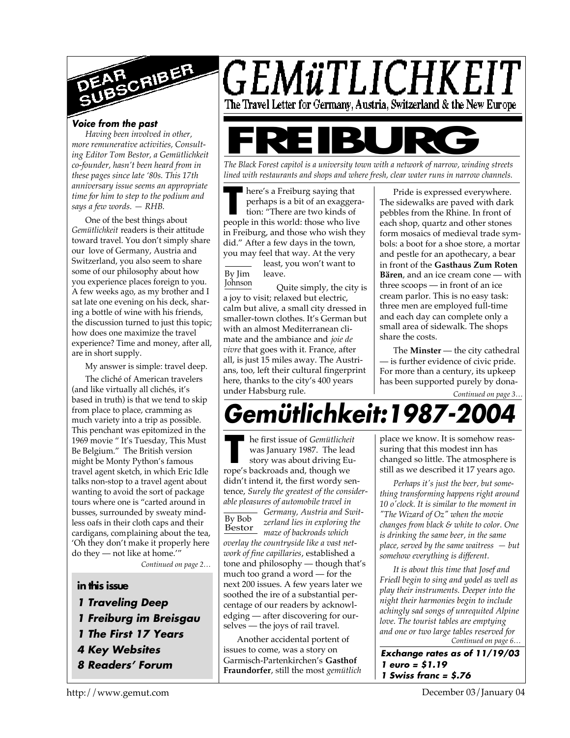

#### *Voice from the past*

*Having been involved in other, more remunerative activities, Consulting Editor Tom Bestor, a Gemütlichkeit co-founder, hasn't been heard from in these pages since late '80s. This 17th anniversary issue seems an appropriate time for him to step to the podium and says a few words. — RHB.*

One of the best things about *Gemütlichkeit* readers is their attitude toward travel. You don't simply share our love of Germany, Austria and Switzerland, you also seem to share some of our philosophy about how you experience places foreign to you. A few weeks ago, as my brother and I sat late one evening on his deck, sharing a bottle of wine with his friends, the discussion turned to just this topic; how does one maximize the travel experience? Time and money, after all, are in short supply.

My answer is simple: travel deep.

The cliché of American travelers (and like virtually all clichés, it's based in truth) is that we tend to skip from place to place, cramming as much variety into a trip as possible. This penchant was epitomized in the 1969 movie " It's Tuesday, This Must Be Belgium." The British version might be Monty Python's famous travel agent sketch, in which Eric Idle talks non-stop to a travel agent about wanting to avoid the sort of package tours where one is "carted around in busses, surrounded by sweaty mindless oafs in their cloth caps and their cardigans, complaining about the tea, 'Oh they don't make it properly here do they — not like at home.'"

*Continued on page 2…*

#### **in this issue**

*1 Traveling Deep 1 Freiburg im Breisgau 1 The First 17 Years 4 Key Websites 8 Readers' Forum*

GEMüTLICHKEIT

# The Black Forest capitol is a university town with a network of narrow, winding streets

*lined with restaurants and shops and where fresh, clear water runs in narrow channels.*

**There's a Freiburg saying that**<br>
perhaps is a bit of an exaggeration: "There are two kinds of<br>
people in this world: those who live here's a Freiburg saying that perhaps is a bit of an exaggeration: "There are two kinds of in Freiburg, and those who wish they did." After a few days in the town, you may feel that way. At the very

By Jim Johnson least, you won't want to leave.

Quite simply, the city is a joy to visit; relaxed but electric, calm but alive, a small city dressed in smaller-town clothes. It's German but with an almost Mediterranean climate and the ambiance and *joie de vivre* that goes with it. France, after all, is just 15 miles away. The Austrians, too, left their cultural fingerprint here, thanks to the city's 400 years under Habsburg rule.

Pride is expressed everywhere. The sidewalks are paved with dark pebbles from the Rhine. In front of each shop, quartz and other stones form mosaics of medieval trade symbols: a boot for a shoe store, a mortar and pestle for an apothecary, a bear in front of the **Gasthaus Zum Roten Bären**, and an ice cream cone — with three scoops — in front of an ice cream parlor. This is no easy task: three men are employed full-time and each day can complete only a small area of sidewalk. The shops share the costs.

The **Minster** — the city cathedral — is further evidence of civic pride. For more than a century, its upkeep has been supported purely by dona-

*Continued on page 3…*

## *Gemütlichkeit:1987-2004*

**THE READ SERVIE SERVIE SERVIE SERVIE SERVIE SERVIE SERVIE SERVIE SERVIE SERVIE SERVIE SERVIE SERVIE SERVIE SERVIE SERVIE SUPER STANDARD WE SERVIE STATE SUPER STATE STATE STATE STATE STATE STATE STATE STATE STATE STATE STA** he first issue of *Gemütlicheit* was January 1987. The lead story was about driving Eudidn't intend it, the first wordy sentence, *Surely the greatest of the considerable pleasures of automobile travel in*

By Bob Bestor *Germany, Austria and Switzerland lies in exploring the maze of backroads which overlay the countryside like a vast network of fine capillaries*, established a tone and philosophy — though that's much too grand a word — for the next 200 issues. A few years later we soothed the ire of a substantial percentage of our readers by acknowledging — after discovering for ourselves — the joys of rail travel.

Another accidental portent of issues to come, was a story on Garmisch-Partenkirchen's **Gasthof Fraundorfer**, still the most *gemütlich* place we know. It is somehow reassuring that this modest inn has changed so little. The atmosphere is still as we described it 17 years ago.

*Perhaps it's just the beer, but something transforming happens right around 10 o'clock. It is similar to the moment in "The Wizard of Oz" when the movie changes from black & white to color. One is drinking the same beer, in the same place, served by the same waitress — but somehow everything is different.*

*Continued on page 6… It is about this time that Josef and Friedl begin to sing and yodel as well as play their instruments. Deeper into the night their harmonies begin to include achingly sad songs of unrequited Alpine love. The tourist tables are emptying and one or two large tables reserved for*

*Exchange rates as of 11/19/03 1 euro = \$1.19 1 Swiss franc = \$.76*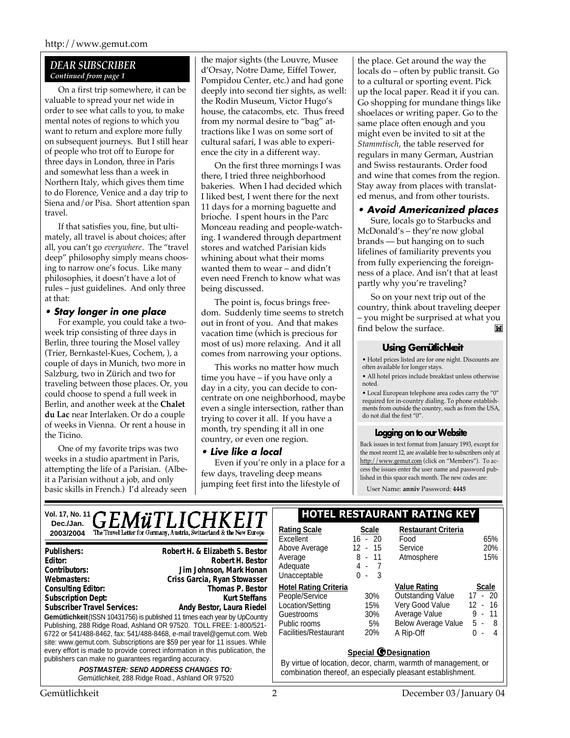#### *DEAR SUBSCRIBER Continued from page 1*

On a first trip somewhere, it can be valuable to spread your net wide in order to see what calls to you, to make mental notes of regions to which you want to return and explore more fully on subsequent journeys. But I still hear of people who trot off to Europe for three days in London, three in Paris and somewhat less than a week in Northern Italy, which gives them time to do Florence, Venice and a day trip to Siena and/or Pisa. Short attention span travel.

If that satisfies you, fine, but ultimately, all travel is about choices; after all, you can't go *everywhere*. The "travel deep" philosophy simply means choosing to narrow one's focus. Like many philosophies, it doesn't have a lot of rules – just guidelines. And only three at that:

#### *• Stay longer in one place*

For example, you could take a twoweek trip consisting of three days in Berlin, three touring the Mosel valley (Trier, Bernkastel-Kues, Cochem, ), a couple of days in Munich, two more in Salzburg, two in Zürich and two for traveling between those places. Or, you could choose to spend a full week in Berlin, and another week at the **Chalet du Lac** near Interlaken. Or do a couple of weeks in Vienna. Or rent a house in the Ticino.

One of my favorite trips was two weeks in a studio apartment in Paris, attempting the life of a Parisian. (Albeit a Parisian without a job, and only basic skills in French.) I'd already seen the major sights (the Louvre, Musee d'Orsay, Notre Dame, Eiffel Tower, Pompidou Center, etc.) and had gone deeply into second tier sights, as well: the Rodin Museum, Victor Hugo's house, the catacombs, etc. Thus freed from my normal desire to "bag" attractions like I was on some sort of cultural safari, I was able to experience the city in a different way.

On the first three mornings I was there, I tried three neighborhood bakeries. When I had decided which I liked best, I went there for the next 11 days for a morning baguette and brioche. I spent hours in the Parc Monceau reading and people-watching. I wandered through department stores and watched Parisian kids whining about what their moms wanted them to wear – and didn't even need French to know what was being discussed.

The point is, focus brings freedom. Suddenly time seems to stretch out in front of you. And that makes vacation time (which is precious for most of us) more relaxing. And it all comes from narrowing your options.

This works no matter how much time you have – if you have only a day in a city, you can decide to concentrate on one neighborhood, maybe even a single intersection, rather than trying to cover it all. If you have a month, try spending it all in one country, or even one region.

#### *• Live like a local*

Even if you're only in a place for a few days, traveling deep means jumping feet first into the lifestyle of

the place. Get around the way the locals do – often by public transit. Go to a cultural or sporting event. Pick up the local paper. Read it if you can. Go shopping for mundane things like shoelaces or writing paper. Go to the same place often enough and you might even be invited to sit at the *Stammtisch*, the table reserved for regulars in many German, Austrian and Swiss restaurants. Order food and wine that comes from the region. Stay away from places with translated menus, and from other tourists.

#### *• Avoid Americanized places*

Sure, locals go to Starbucks and McDonald's – they're now global brands — but hanging on to such lifelines of familiarity prevents you from fully experiencing the foreignness of a place. And isn't that at least partly why you're traveling?

So on your next trip out of the country, think about traveling deeper – you might be surprised at what you find below the surface.岡

#### **Using Gemütlichkeit**

• Hotel prices listed are for one night. Discounts are often available for longer stays.

• All hotel prices include breakfast unless otherwise noted.

• Local European telephone area codes carry the "0" required for in-country dialing. To phone establishments from outside the country, such as from the USA, do not dial the first "0".

#### **Logging on to our Website**

Back issues in text format from January 1993, except for the most recent 12, are available free to subscribers only at http://www.gemut.com (click on "Members"). To access the issues enter the user name and password published in this space each month. The new codes are:

User Name: **anniv** Password: **4445**

| Vol. 17, No. 11<br><i><b>GEMüTLICHKEIT</b></i>                                                                                                         |                                                                                                                                                                                                                                                                                                                                                                                                                                                                                             | <b>HOTEL RESTAU</b>                                                                                                                                                               |                                                                             |
|--------------------------------------------------------------------------------------------------------------------------------------------------------|---------------------------------------------------------------------------------------------------------------------------------------------------------------------------------------------------------------------------------------------------------------------------------------------------------------------------------------------------------------------------------------------------------------------------------------------------------------------------------------------|-----------------------------------------------------------------------------------------------------------------------------------------------------------------------------------|-----------------------------------------------------------------------------|
| Dec./Jan.<br>2003/2004                                                                                                                                 | The Travel Letter for Germany, Austria, Switzerland & the New Europe                                                                                                                                                                                                                                                                                                                                                                                                                        | <b>Rating Scale</b><br>Excellent                                                                                                                                                  | <b>Scale</b><br>$16 - 20$                                                   |
| Publishers:<br>Editor:<br>Contributors:<br>Webmasters:<br><b>Consulting Editor:</b><br><b>Subscription Dept:</b><br><b>Subscriber Travel Services:</b> | Robert H. & Elizabeth S. Bestor<br>Robert H. Bestor<br>Jim Johnson, Mark Honan<br>Criss Garcia, Ryan Stowasser<br>Thomas P. Bestor<br>Kurt Steffans<br>Andy Bestor, Laura Riedel<br>Gemütlichkeit (ISSN 10431756) is published 11 times each year by UpCountry<br>Publishing, 288 Ridge Road, Ashland OR 97520. TOLL FREE: 1-800/521-<br>6722 or 541/488-8462, fax: 541/488-8468, e-mail travel@gemut.com. Web<br>site: www.gemut.com. Subscriptions are \$59 per year for 11 issues. While | Above Average<br>Average<br>Adequate<br>Unacceptable<br><b>Hotel Rating Criteria</b><br>People/Service<br>Location/Setting<br>Guestrooms<br>Public rooms<br>Facilities/Restaurant | $12 - 15$<br>$8 - 11$<br>4 - 7<br>$0 - 3$<br>30%<br>15%<br>30%<br>5%<br>20% |
| every effort is made to provide correct information in this publication, the<br>publishers can make no guarantees regarding accuracy.                  |                                                                                                                                                                                                                                                                                                                                                                                                                                                                                             | By virtue of location, decor, ch                                                                                                                                                  | Special <b>C</b>                                                            |
| <b>POSTMASTER: SEND ADDRESS CHANGES TO:</b><br>Gemütlichkeit, 288 Ridge Road., Ashland OR 97520                                                        |                                                                                                                                                                                                                                                                                                                                                                                                                                                                                             | combination thereof, an espec                                                                                                                                                     |                                                                             |

#### **Vol. 17, No. 11 HOTEL RESTAURANT RATING KEY**

| <b>Rating Scale</b>          |          |                            |           |
|------------------------------|----------|----------------------------|-----------|
| Excellent                    | 16 - 20  | Food                       | 65%       |
| Above Average                | 12 - 15  | Service                    | 20%       |
| Average                      | 8 - 11   | Atmosphere                 | 15%       |
| Adequate                     | 4 -      |                            |           |
| Unacceptable                 | 3<br>ი - |                            |           |
| <b>Hotel Rating Criteria</b> |          | <b>Value Rating</b>        | Scale     |
| People/Service               | 30%      | <b>Outstanding Value</b>   | $17 - 20$ |
| Location/Setting             | 15%      | Very Good Value            | $12 - 16$ |
| Guestrooms                   | 30%      | Average Value              | $9 - 11$  |
| Public rooms                 | 5%       | <b>Below Average Value</b> | 5 -<br>8  |
| Facilities/Restaurant        | 20%      | A Rip-Off                  | U<br>4    |
|                              |          |                            |           |

#### **Special G Designation**

cation, decor, charm, warmth of management, or hereof, an especially pleasant establishment.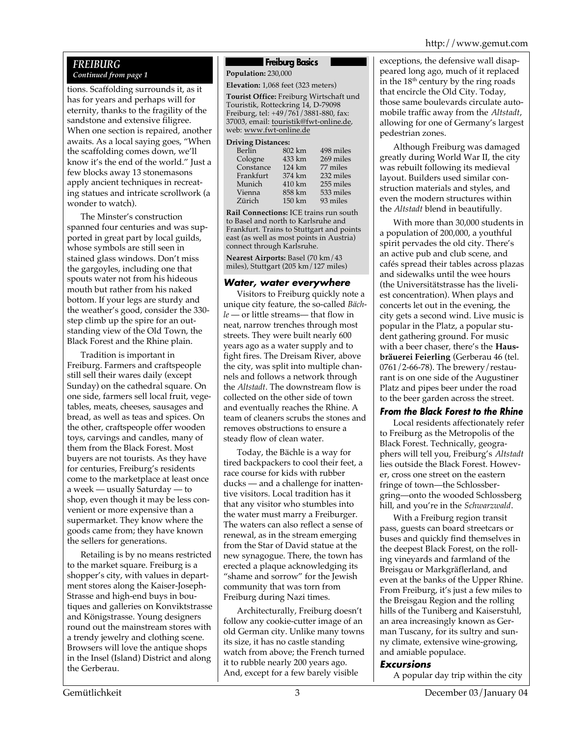#### *FREIBURG Continued from page 1*

tions. Scaffolding surrounds it, as it has for years and perhaps will for eternity, thanks to the fragility of the sandstone and extensive filigree. When one section is repaired, another awaits. As a local saying goes, "When the scaffolding comes down, we'll know it's the end of the world." Just a few blocks away 13 stonemasons apply ancient techniques in recreating statues and intricate scrollwork (a wonder to watch).

The Minster's construction spanned four centuries and was supported in great part by local guilds, whose symbols are still seen in stained glass windows. Don't miss the gargoyles, including one that spouts water not from his hideous mouth but rather from his naked bottom. If your legs are sturdy and the weather's good, consider the 330 step climb up the spire for an outstanding view of the Old Town, the Black Forest and the Rhine plain.

Tradition is important in Freiburg. Farmers and craftspeople still sell their wares daily (except Sunday) on the cathedral square. On one side, farmers sell local fruit, vegetables, meats, cheeses, sausages and bread, as well as teas and spices. On the other, craftspeople offer wooden toys, carvings and candles, many of them from the Black Forest. Most buyers are not tourists. As they have for centuries, Freiburg's residents come to the marketplace at least once a week — usually Saturday — to shop, even though it may be less convenient or more expensive than a supermarket. They know where the goods came from; they have known the sellers for generations.

Retailing is by no means restricted to the market square. Freiburg is a shopper's city, with values in department stores along the Kaiser-Joseph-Strasse and high-end buys in boutiques and galleries on Konviktstrasse and Königstrasse. Young designers round out the mainstream stores with a trendy jewelry and clothing scene. Browsers will love the antique shops in the Insel (Island) District and along the Gerberau.

#### **Freiburg Basics**

**Population:** 230,000

**Elevation:** 1,068 feet (323 meters)

**Tourist Office:** Freiburg Wirtschaft und Touristik, Rotteckring 14, D-79098 Freiburg, tel: +49/761/3881-880, fax: 37003, email: touristik@fwt-online.de, web: www.fwt-online.de

#### **Driving Distances:**

| Berlin    | 802 km | 498 miles |
|-----------|--------|-----------|
| Cologne   | 433 km | 269 miles |
| Constance | 124 km | 77 miles  |
| Frankfurt | 374 km | 232 miles |
| Munich    | 410 km | 255 miles |
| Vienna    | 858 km | 533 miles |
| Zürich    | 150 km | 93 miles  |

**Rail Connections:** ICE trains run south to Basel and north to Karlsruhe and Frankfurt. Trains to Stuttgart and points east (as well as most points in Austria) connect through Karlsruhe.

**Nearest Airports:** Basel (70 km/43 miles), Stuttgart (205 km/127 miles)

#### *Water, water everywhere*

Visitors to Freiburg quickly note a unique city feature, the so-called *Bächle* — or little streams— that flow in neat, narrow trenches through most streets. They were built nearly 600 years ago as a water supply and to fight fires. The Dreisam River, above the city, was split into multiple channels and follows a network through the *Altstadt*. The downstream flow is collected on the other side of town and eventually reaches the Rhine. A team of cleaners scrubs the stones and removes obstructions to ensure a steady flow of clean water.

Today, the Bächle is a way for tired backpackers to cool their feet, a race course for kids with rubber ducks — and a challenge for inattentive visitors. Local tradition has it that any visitor who stumbles into the water must marry a Freiburger. The waters can also reflect a sense of renewal, as in the stream emerging from the Star of David statue at the new synagogue. There, the town has erected a plaque acknowledging its "shame and sorrow" for the Jewish community that was torn from Freiburg during Nazi times.

Architecturally, Freiburg doesn't follow any cookie-cutter image of an old German city. Unlike many towns its size, it has no castle standing watch from above; the French turned it to rubble nearly 200 years ago. And, except for a few barely visible

exceptions, the defensive wall disappeared long ago, much of it replaced in the  $18<sup>th</sup>$  century by the ring roads that encircle the Old City. Today, those same boulevards circulate automobile traffic away from the *Altstadt*, allowing for one of Germany's largest pedestrian zones.

Although Freiburg was damaged greatly during World War II, the city was rebuilt following its medieval layout. Builders used similar construction materials and styles, and even the modern structures within the *Altstadt* blend in beautifully.

With more than 30,000 students in a population of 200,000, a youthful spirit pervades the old city. There's an active pub and club scene, and cafés spread their tables across plazas and sidewalks until the wee hours (the Universitätstrasse has the liveliest concentration). When plays and concerts let out in the evening, the city gets a second wind. Live music is popular in the Platz, a popular student gathering ground. For music with a beer chaser, there's the **Hausbräuerei Feierling** (Gerberau 46 (tel. 0761/2-66-78). The brewery/restaurant is on one side of the Augustiner Platz and pipes beer under the road to the beer garden across the street.

#### *From the Black Forest to the Rhine*

Local residents affectionately refer to Freiburg as the Metropolis of the Black Forest. Technically, geographers will tell you, Freiburg's *Altstadt* lies outside the Black Forest. However, cross one street on the eastern fringe of town—the Schlossbergring—onto the wooded Schlossberg hill, and you're in the *Schwarzwald*.

With a Freiburg region transit pass, guests can board streetcars or buses and quickly find themselves in the deepest Black Forest, on the rolling vineyards and farmland of the Breisgau or Markgräflerland, and even at the banks of the Upper Rhine. From Freiburg, it's just a few miles to the Breisgau Region and the rolling hills of the Tuniberg and Kaiserstuhl, an area increasingly known as German Tuscany, for its sultry and sunny climate, extensive wine-growing, and amiable populace.

#### *Excursions*

A popular day trip within the city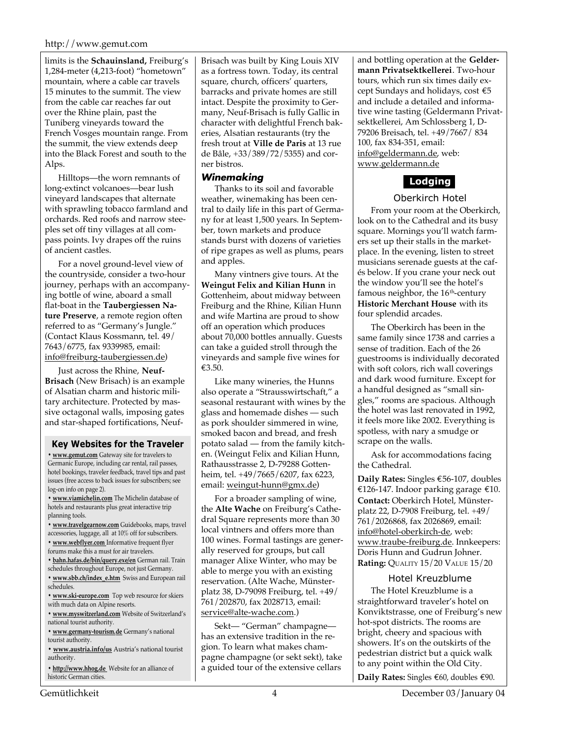limits is the **Schauinsland,** Freiburg's 1,284-meter (4,213-foot) "hometown" mountain, where a cable car travels 15 minutes to the summit. The view from the cable car reaches far out over the Rhine plain, past the Tuniberg vineyards toward the French Vosges mountain range. From the summit, the view extends deep into the Black Forest and south to the Alps.

Hilltops—the worn remnants of long-extinct volcanoes—bear lush vineyard landscapes that alternate with sprawling tobacco farmland and orchards. Red roofs and narrow steeples set off tiny villages at all compass points. Ivy drapes off the ruins of ancient castles.

For a novel ground-level view of the countryside, consider a two-hour journey, perhaps with an accompanying bottle of wine, aboard a small flat-boat in the **Taubergiessen Nature Preserve**, a remote region often referred to as "Germany's Jungle." (Contact Klaus Kossmann, tel. 49/ 7643/6775, fax 9339985, email: info@freiburg-taubergiessen.de)

Just across the Rhine, **Neuf-Brisach** (New Brisach) is an example of Alsatian charm and historic military architecture. Protected by massive octagonal walls, imposing gates and star-shaped fortifications, Neuf-

#### **Key Websites for the Traveler**

**• www.gemut.com** Gateway site for travelers to Germanic Europe, including car rental, rail passes, hotel bookings, traveler feedback, travel tips and past issues (free access to back issues for subscribers; see log-on info on page 2).

**• www.viamichelin.com** The Michelin database of hotels and restaurants plus great interactive trip planning tools.

**• www.travelgearnow.com** Guidebooks, maps, travel accessories, luggage, all at 10% off for subscribers.

- **www.webflyer.com** Informative frequent flyer
- forums make this a must for air travelers.
- **bahn.hafas.de/bin/query.exe/en** German rail. Train schedules throughout Europe, not just Germany.
- **www.sbb.ch/index\_e.htm** Swiss and European rail schedules.
- **www.ski-europe.com** Top web resource for skiers with much data on Alpine resorts.

**• www.myswitzerland.com** Website of Switzerland's national tourist authority.

**• www.germany-tourism.de** Germany's national tourist authority.

**• www.austria.info/us** Austria's national tourist authority.

**• http://www.hhog.de** Website for an alliance of historic German cities.

Brisach was built by King Louis XIV as a fortress town. Today, its central square, church, officers' quarters, barracks and private homes are still intact. Despite the proximity to Germany, Neuf-Brisach is fully Gallic in character with delightful French bakeries, Alsatian restaurants (try the fresh trout at **Ville de Paris** at 13 rue de Bâle, +33/389/72/5355) and corner bistros.

#### *Winemaking*

Thanks to its soil and favorable weather, winemaking has been central to daily life in this part of Germany for at least 1,500 years. In September, town markets and produce stands burst with dozens of varieties of ripe grapes as well as plums, pears and apples.

Many vintners give tours. At the **Weingut Felix and Kilian Hunn** in Gottenheim, about midway between Freiburg and the Rhine, Kilian Hunn and wife Martina are proud to show off an operation which produces about 70,000 bottles annually. Guests can take a guided stroll through the vineyards and sample five wines for €3.50.

Like many wineries, the Hunns also operate a "Strausswirtschaft," a seasonal restaurant with wines by the glass and homemade dishes — such as pork shoulder simmered in wine, smoked bacon and bread, and fresh potato salad — from the family kitchen. (Weingut Felix and Kilian Hunn, Rathausstrasse 2, D-79288 Gottenheim, tel. +49/7665/6207, fax 6223, email: weingut-hunn@gmx.de)

For a broader sampling of wine, the **Alte Wache** on Freiburg's Cathedral Square represents more than 30 local vintners and offers more than 100 wines. Formal tastings are generally reserved for groups, but call manager Alixe Winter, who may be able to merge you with an existing reservation. (Alte Wache, Münsterplatz 38, D-79098 Freiburg, tel. +49/ 761/202870, fax 2028713, email: service@alte-wache.com.)

Sekt— "German" champagne has an extensive tradition in the region. To learn what makes champagne champagne (or sekt sekt), take a guided tour of the extensive cellars

and bottling operation at the **Geldermann Privatsektkellerei**. Two-hour tours, which run six times daily except Sundays and holidays, cost €5 and include a detailed and informative wine tasting (Geldermann Privatsektkellerei, Am Schlossberg 1, D-79206 Breisach, tel. +49/7667/ 834 100, fax 834-351, email: info@geldermann.de, web: www.geldermann.de

#### **Lodging**

Oberkirch Hotel

From your room at the Oberkirch, look on to the Cathedral and its busy square. Mornings you'll watch farmers set up their stalls in the marketplace. In the evening, listen to street musicians serenade guests at the cafés below. If you crane your neck out the window you'll see the hotel's famous neighbor, the  $16<sup>th</sup>$ -century **Historic Merchant House** with its four splendid arcades.

The Oberkirch has been in the same family since 1738 and carries a sense of tradition. Each of the 26 guestrooms is individually decorated with soft colors, rich wall coverings and dark wood furniture. Except for a handful designed as "small singles," rooms are spacious. Although the hotel was last renovated in 1992, it feels more like 2002. Everything is spotless, with nary a smudge or scrape on the walls.

Ask for accommodations facing the Cathedral.

**Daily Rates:** Singles €56-107, doubles €126-147. Indoor parking garage €10. **Contact:** Oberkirch Hotel, Münsterplatz 22, D-7908 Freiburg, tel. +49/ 761/2026868, fax 2026869, email: info@hotel-oberkirch-de, web: www.traube-freiburg.de. Innkeepers: Doris Hunn and Gudrun Johner. **Rating:** QUALITY 15/20 VALUE 15/20

#### Hotel Kreuzblume

The Hotel Kreuzblume is a straightforward traveler's hotel on Konviktstrasse, one of Freiburg's new hot-spot districts. The rooms are bright, cheery and spacious with showers. It's on the outskirts of the pedestrian district but a quick walk to any point within the Old City.

**Daily Rates:** Singles €60, doubles €90.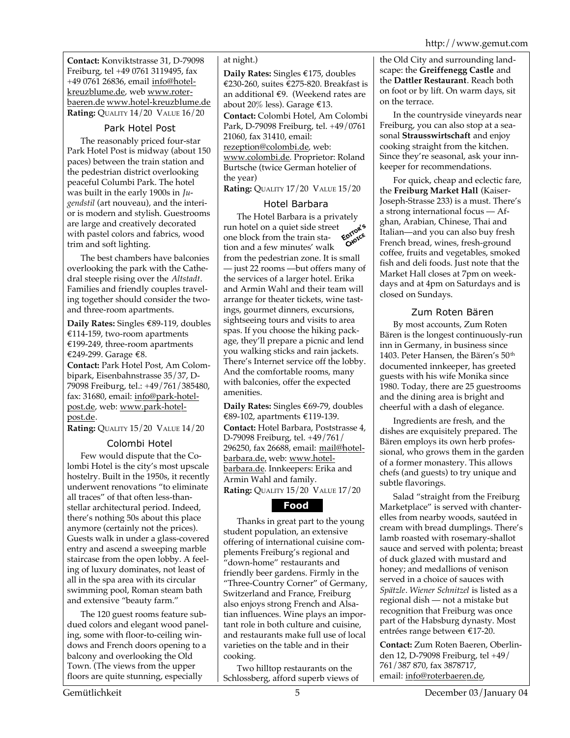**Contact:** Konviktstrasse 31, D-79098 Freiburg, tel +49 0761 3119495, fax +49 0761 26836, email info@hotelkreuzblume.de, web www.roterbaeren.de www.hotel-kreuzblume.de **Rating:** QUALITY 14/20 VALUE 16/20

#### Park Hotel Post

The reasonably priced four-star Park Hotel Post is midway (about 150 paces) between the train station and the pedestrian district overlooking peaceful Columbi Park. The hotel was built in the early 1900s in *Jugendstil* (art nouveau), and the interior is modern and stylish. Guestrooms are large and creatively decorated with pastel colors and fabrics, wood trim and soft lighting.

The best chambers have balconies overlooking the park with the Cathedral steeple rising over the *Altstadt*. Families and friendly couples traveling together should consider the twoand three-room apartments.

**Daily Rates:** Singles €89-119, doubles €114-159, two-room apartments €199-249, three-room apartments €249-299. Garage €8.

**Contact:** Park Hotel Post, Am Colombipark, Eisenbahnstrasse 35/37, D-79098 Freiburg, tel.: +49/761/385480, fax: 31680, email: info@park-hotelpost.de, web: www.park-hotelpost.de.

**Rating:** QUALITY 15/20 VALUE 14/20

#### Colombi Hotel

Few would dispute that the Colombi Hotel is the city's most upscale hostelry. Built in the 1950s, it recently underwent renovations "to eliminate all traces" of that often less-thanstellar architectural period. Indeed, there's nothing 50s about this place anymore (certainly not the prices). Guests walk in under a glass-covered entry and ascend a sweeping marble staircase from the open lobby. A feeling of luxury dominates, not least of all in the spa area with its circular swimming pool, Roman steam bath and extensive "beauty farm."

The 120 guest rooms feature subdued colors and elegant wood paneling, some with floor-to-ceiling windows and French doors opening to a balcony and overlooking the Old Town. (The views from the upper floors are quite stunning, especially

#### at night.)

**Daily Rates:** Singles €175, doubles €230-260, suites €275-820. Breakfast is an additional €9. (Weekend rates are about 20% less). Garage €13. **Contact:** Colombi Hotel, Am Colombi Park, D-79098 Freiburg, tel. +49/0761 21060, fax 31410, email: rezeption@colombi.de, web: www.colombi.de. Proprietor: Roland Burtsche (twice German hotelier of the year) **Rating:** QUALITY 17/20 VALUE 15/20

Hotel Barbara

#### The Hotel Barbara is a privately<br>hotel on a quiet side street  $\frac{d}{d}$ <br>block from the full integration run hotel on a quiet side street EDITORCE one block from the train station and a few minutes' walk from the pedestrian zone. It is small

— just 22 rooms —but offers many of the services of a larger hotel. Erika and Armin Wahl and their team will arrange for theater tickets, wine tastings, gourmet dinners, excursions, sightseeing tours and visits to area spas. If you choose the hiking package, they'll prepare a picnic and lend you walking sticks and rain jackets. There's Internet service off the lobby. And the comfortable rooms, many with balconies, offer the expected amenities.

**Daily Rates:** Singles €69-79, doubles €89-102, apartments €119-139. **Contact:** Hotel Barbara, Poststrasse 4, D-79098 Freiburg, tel. +49/761/ 296250, fax 26688, email: mail@hotelbarbara.de, web: www.hotelbarbara.de. Innkeepers: Erika and Armin Wahl and family. **Rating:** QUALITY 15/20 VALUE 17/20

#### **Food**

Thanks in great part to the young student population, an extensive offering of international cuisine complements Freiburg's regional and "down-home" restaurants and friendly beer gardens. Firmly in the "Three-Country Corner" of Germany, Switzerland and France, Freiburg also enjoys strong French and Alsatian influences. Wine plays an important role in both culture and cuisine, and restaurants make full use of local varieties on the table and in their cooking.

Two hilltop restaurants on the Schlossberg, afford superb views of the Old City and surrounding landscape: the **Greiffenegg Castle** and the **Dattler Restaurant**. Reach both on foot or by lift. On warm days, sit on the terrace.

In the countryside vineyards near Freiburg, you can also stop at a seasonal **Strausswirtschaft** and enjoy cooking straight from the kitchen. Since they're seasonal, ask your innkeeper for recommendations.

For quick, cheap and eclectic fare, the **Freiburg Market Hall** (Kaiser-Joseph-Strasse 233) is a must. There's a strong international focus — Afghan, Arabian, Chinese, Thai and Italian—and you can also buy fresh French bread, wines, fresh-ground coffee, fruits and vegetables, smoked fish and deli foods. Just note that the Market Hall closes at 7pm on weekdays and at 4pm on Saturdays and is closed on Sundays.

#### Zum Roten Bären

By most accounts, Zum Roten Bären is the longest continuously-run inn in Germany, in business since 1403. Peter Hansen, the Bären's 50<sup>th</sup> documented innkeeper, has greeted guests with his wife Monika since 1980. Today, there are 25 guestrooms and the dining area is bright and cheerful with a dash of elegance.

Ingredients are fresh, and the dishes are exquisitely prepared. The Bären employs its own herb professional, who grows them in the garden of a former monastery. This allows chefs (and guests) to try unique and subtle flavorings.

Salad "straight from the Freiburg Marketplace" is served with chanterelles from nearby woods, sautéed in cream with bread dumplings. There's lamb roasted with rosemary-shallot sauce and served with polenta; breast of duck glazed with mustard and honey; and medallions of venison served in a choice of sauces with *Spätzle*. *Wiener Schnitzel* is listed as a regional dish — not a mistake but recognition that Freiburg was once part of the Habsburg dynasty. Most entrées range between €17-20.

**Contact:** Zum Roten Baeren, Oberlinden 12, D-79098 Freiburg, tel +49/ 761/387 870, fax 3878717, email: info@roterbaeren.de,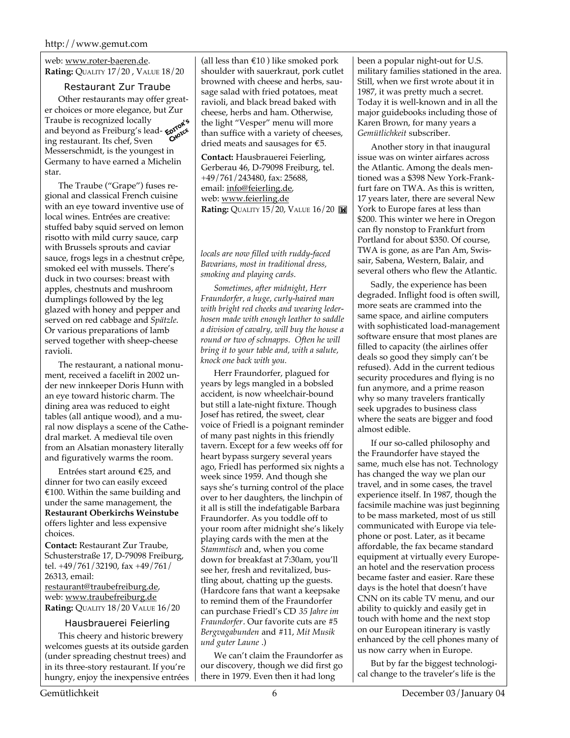web: www.roter-baeren.de. **Rating:** QUALITY 17/20 , VALUE 18/20

Restaurant Zur Traube Other restaurants may offer greater choices or more elegance, but Zur Traube is recognized locally and beyond as Freiburg's leading restaurant. Its chef, Sven Messerschmidt, is the youngest in Germany to have earned a Michelin star.

The Traube ("Grape") fuses regional and classical French cuisine with an eye toward inventive use of local wines. Entrées are creative: stuffed baby squid served on lemon risotto with mild curry sauce, carp with Brussels sprouts and caviar sauce, frogs legs in a chestnut crêpe, smoked eel with mussels. There's duck in two courses: breast with apples, chestnuts and mushroom dumplings followed by the leg glazed with honey and pepper and served on red cabbage and *Spätzle*. Or various preparations of lamb served together with sheep-cheese ravioli.

The restaurant, a national monument, received a facelift in 2002 under new innkeeper Doris Hunn with an eye toward historic charm. The dining area was reduced to eight tables (all antique wood), and a mural now displays a scene of the Cathedral market. A medieval tile oven from an Alsatian monastery literally and figuratively warms the room.

Entrées start around €25, and dinner for two can easily exceed €100. Within the same building and under the same management, the **Restaurant Oberkirchs Weinstube** offers lighter and less expensive choices.

**Contact:** Restaurant Zur Traube, Schusterstraße 17, D-79098 Freiburg, tel. +49/761/32190, fax +49/761/ 26313, email: restaurant@traubefreiburg.de, web: www.traubefreiburg.de **Rating:** QUALITY 18/20 VALUE 16/20

#### Hausbrauerei Feierling

This cheery and historic brewery welcomes guests at its outside garden (under spreading chestnut trees) and in its three-story restaurant. If you're hungry, enjoy the inexpensive entrées

(all less than  $€10$  ) like smoked pork shoulder with sauerkraut, pork cutlet browned with cheese and herbs, sausage salad with fried potatoes, meat ravioli, and black bread baked with cheese, herbs and ham. Otherwise, the light "Vesper" menu will more than suffice with a variety of cheeses, dried meats and sausages for €5.

**Contact:** Hausbrauerei Feierling, Gerberau 46, D-79098 Freiburg, tel. +49/761/243480, fax: 25688, email: info@feierling.de, web: www.feierling.de **Rating:** QUALITY 15/20, VALUE 16/20

*locals are now filled with ruddy-faced Bavarians, most in traditional dress, smoking and playing cards.*

*Sometimes, after midnight, Herr Fraundorfer, a huge, curly-haired man with bright red cheeks and wearing lederhosen made with enough leather to saddle a division of cavalry, will buy the house a round or two of schnapps. Often he will bring it to your table and, with a salute, knock one back with you.*

Herr Fraundorfer, plagued for years by legs mangled in a bobsled accident, is now wheelchair-bound but still a late-night fixture. Though Josef has retired, the sweet, clear voice of Friedl is a poignant reminder of many past nights in this friendly tavern. Except for a few weeks off for heart bypass surgery several years ago, Friedl has performed six nights a week since 1959. And though she says she's turning control of the place over to her daughters, the linchpin of it all is still the indefatigable Barbara Fraundorfer. As you toddle off to your room after midnight she's likely playing cards with the men at the *Stammtisch* and, when you come down for breakfast at 7:30am, you'll see her, fresh and revitalized, bustling about, chatting up the guests. (Hardcore fans that want a keepsake to remind them of the Fraundorfer can purchase Friedl's CD *35 Jahre im Fraundorfer*. Our favorite cuts are #5 *Bergvagabunden* and #11, *Mit Musik und guter Laune* .)

We can't claim the Fraundorfer as our discovery, though we did first go there in 1979. Even then it had long

been a popular night-out for U.S. military families stationed in the area. Still, when we first wrote about it in 1987, it was pretty much a secret. Today it is well-known and in all the major guidebooks including those of Karen Brown, for many years a *Gemütlichkeit* subscriber.

Another story in that inaugural issue was on winter airfares across the Atlantic. Among the deals mentioned was a \$398 New York-Frankfurt fare on TWA. As this is written, 17 years later, there are several New York to Europe fares at less than \$200. This winter we here in Oregon can fly nonstop to Frankfurt from Portland for about \$350. Of course, TWA is gone, as are Pan Am, Swissair, Sabena, Western, Balair, and several others who flew the Atlantic.

Sadly, the experience has been degraded. Inflight food is often swill, more seats are crammed into the same space, and airline computers with sophisticated load-management software ensure that most planes are filled to capacity (the airlines offer deals so good they simply can't be refused). Add in the current tedious security procedures and flying is no fun anymore, and a prime reason why so many travelers frantically seek upgrades to business class where the seats are bigger and food almost edible.

If our so-called philosophy and the Fraundorfer have stayed the same, much else has not. Technology has changed the way we plan our travel, and in some cases, the travel experience itself. In 1987, though the facsimile machine was just beginning to be mass marketed, most of us still communicated with Europe via telephone or post. Later, as it became affordable, the fax became standard equipment at virtually every European hotel and the reservation process became faster and easier. Rare these days is the hotel that doesn't have CNN on its cable TV menu, and our ability to quickly and easily get in touch with home and the next stop on our European itinerary is vastly enhanced by the cell phones many of us now carry when in Europe.

But by far the biggest technological change to the traveler's life is the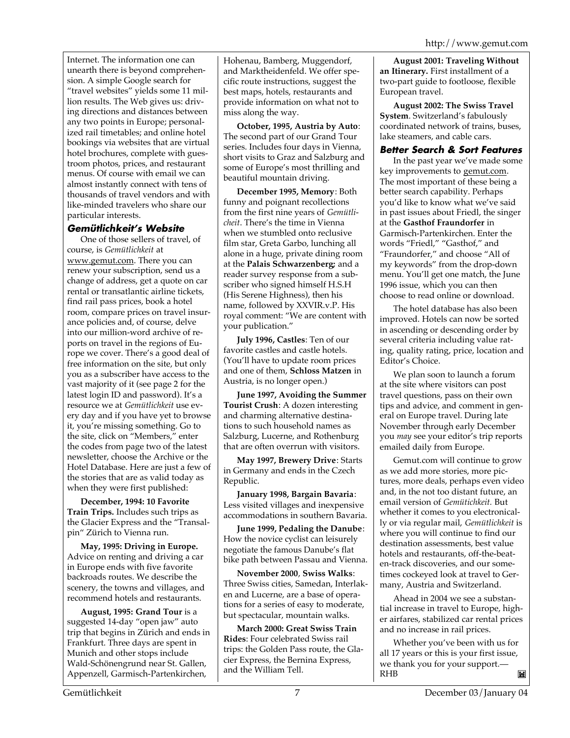Internet. The information one can unearth there is beyond comprehension. A simple Google search for "travel websites" yields some 11 million results. The Web gives us: driving directions and distances between any two points in Europe; personalized rail timetables; and online hotel bookings via websites that are virtual hotel brochures, complete with guestroom photos, prices, and restaurant menus. Of course with email we can almost instantly connect with tens of thousands of travel vendors and with like-minded travelers who share our particular interests.

#### *Gemütlichkeit's Website*

One of those sellers of travel, of course, is *Gemütlichkeit* at www.gemut.com. There you can renew your subscription, send us a change of address, get a quote on car rental or transatlantic airline tickets, find rail pass prices, book a hotel room, compare prices on travel insurance policies and, of course, delve into our million-word archive of reports on travel in the regions of Europe we cover. There's a good deal of free information on the site, but only you as a subscriber have access to the vast majority of it (see page 2 for the latest login ID and password). It's a resource we at *Gemütlichkeit* use every day and if you have yet to browse it, you're missing something. Go to the site, click on "Members," enter the codes from page two of the latest newsletter, choose the Archive or the Hotel Database. Here are just a few of the stories that are as valid today as when they were first published:

**December, 1994: 10 Favorite Train Trips.** Includes such trips as the Glacier Express and the "Transalpin" Zürich to Vienna run.

**May, 1995: Driving in Europe.** Advice on renting and driving a car in Europe ends with five favorite backroads routes. We describe the scenery, the towns and villages, and recommend hotels and restaurants.

**August, 1995: Grand Tour** is a suggested 14-day "open jaw" auto trip that begins in Zürich and ends in Frankfurt. Three days are spent in Munich and other stops include Wald-Schönengrund near St. Gallen, Appenzell, Garmisch-Partenkirchen,

Hohenau, Bamberg, Muggendorf, and Marktheidenfeld. We offer specific route instructions, suggest the best maps, hotels, restaurants and provide information on what not to miss along the way.

**October, 1995, Austria by Auto**: The second part of our Grand Tour series. Includes four days in Vienna, short visits to Graz and Salzburg and some of Europe's most thrilling and beautiful mountain driving.

**December 1995, Memory**: Both funny and poignant recollections from the first nine years of *Gemütlicheit*. There's the time in Vienna when we stumbled onto reclusive film star, Greta Garbo, lunching all alone in a huge, private dining room at the **Palais Schwarzenberg;** and a reader survey response from a subscriber who signed himself H.S.H (His Serene Highness), then his name, followed by XXVIR.v.P. His royal comment: "We are content with your publication."

**July 1996, Castles**: Ten of our favorite castles and castle hotels. (You'll have to update room prices and one of them, **Schloss Matzen** in Austria, is no longer open.)

**June 1997, Avoiding the Summer Tourist Crush**: A dozen interesting and charming alternative destinations to such household names as Salzburg, Lucerne, and Rothenburg that are often overrun with visitors.

**May 1997, Brewery Drive**: Starts in Germany and ends in the Czech Republic.

**January 1998, Bargain Bavaria**: Less visited villages and inexpensive accommodations in southern Bavaria.

**June 1999, Pedaling the Danube**: How the novice cyclist can leisurely negotiate the famous Danube's flat bike path between Passau and Vienna.

**November 2000**, **Swiss Walks**: Three Swiss cities, Samedan, Interlaken and Lucerne, are a base of operations for a series of easy to moderate, but spectacular, mountain walks.

**March 2000: Great Swiss Train Rides**: Four celebrated Swiss rail trips: the Golden Pass route, the Glacier Express, the Bernina Express, and the William Tell.

**August 2001: Traveling Without an Itinerary.** First installment of a two-part guide to footloose, flexible European travel.

**August 2002: The Swiss Travel System**. Switzerland's fabulously coordinated network of trains, buses, lake steamers, and cable cars.

#### *Better Search & Sort Features*

In the past year we've made some key improvements to gemut.com. The most important of these being a better search capability. Perhaps you'd like to know what we've said in past issues about Friedl, the singer at the **Gasthof Fraundorfer** in Garmisch-Partenkirchen. Enter the words "Friedl," "Gasthof," and "Fraundorfer," and choose "All of my keywords" from the drop-down menu. You'll get one match, the June 1996 issue, which you can then choose to read online or download.

The hotel database has also been improved. Hotels can now be sorted in ascending or descending order by several criteria including value rating, quality rating, price, location and Editor's Choice.

We plan soon to launch a forum at the site where visitors can post travel questions, pass on their own tips and advice, and comment in general on Europe travel. During late November through early December you *may* see your editor's trip reports emailed daily from Europe.

Gemut.com will continue to grow as we add more stories, more pictures, more deals, perhaps even video and, in the not too distant future, an email version of *Gemütichkeit.* But whether it comes to you electronically or via regular mail, *Gemütlichkeit* is where you will continue to find our destination assessments, best value hotels and restaurants, off-the-beaten-track discoveries, and our sometimes cockeyed look at travel to Germany, Austria and Switzerland.

Ahead in 2004 we see a substantial increase in travel to Europe, higher airfares, stabilized car rental prices and no increase in rail prices.

Whether you've been with us for all 17 years or this is your first issue, we thank you for your support.— RHBM